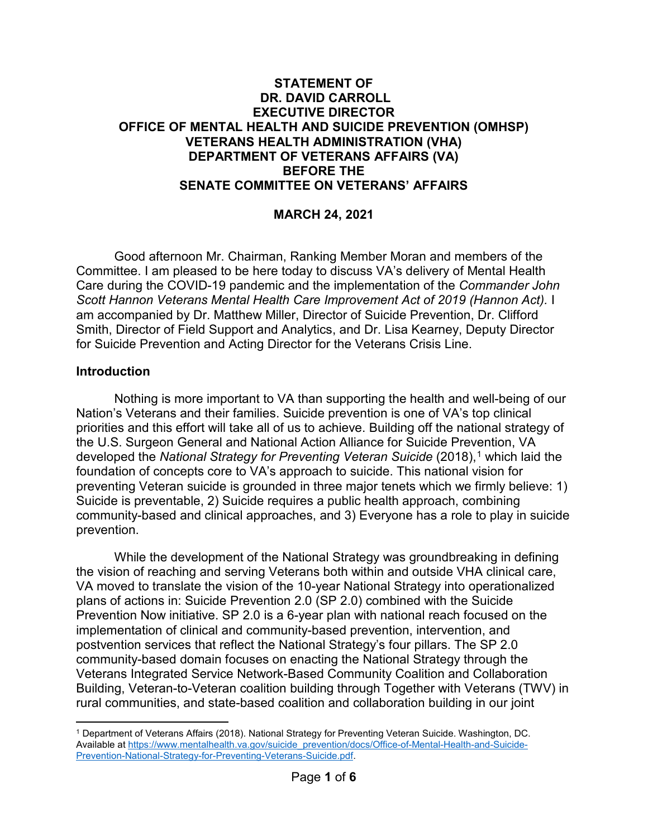### **STATEMENT OF DR. DAVID CARROLL EXECUTIVE DIRECTOR OFFICE OF MENTAL HEALTH AND SUICIDE PREVENTION (OMHSP) VETERANS HEALTH ADMINISTRATION (VHA) DEPARTMENT OF VETERANS AFFAIRS (VA) BEFORE THE SENATE COMMITTEE ON VETERANS' AFFAIRS**

## **MARCH 24, 2021**

Good afternoon Mr. Chairman, Ranking Member Moran and members of the Committee. I am pleased to be here today to discuss VA's delivery of Mental Health Care during the COVID-19 pandemic and the implementation of the *Commander John Scott Hannon Veterans Mental Health Care Improvement Act of 2019 (Hannon Act).* I am accompanied by Dr. Matthew Miller, Director of Suicide Prevention, Dr. Clifford Smith, Director of Field Support and Analytics, and Dr. Lisa Kearney, Deputy Director for Suicide Prevention and Acting Director for the Veterans Crisis Line.

#### **Introduction**

Nothing is more important to VA than supporting the health and well-being of our Nation's Veterans and their families. Suicide prevention is one of VA's top clinical priorities and this effort will take all of us to achieve. Building off the national strategy of the U.S. Surgeon General and National Action Alliance for Suicide Prevention, VA developed the *National Strategy for Preventing Veteran Suicide* (2018), [1](#page-0-0) which laid the foundation of concepts core to VA's approach to suicide. This national vision for preventing Veteran suicide is grounded in three major tenets which we firmly believe: 1) Suicide is preventable, 2) Suicide requires a public health approach, combining community-based and clinical approaches, and 3) Everyone has a role to play in suicide prevention.

While the development of the National Strategy was groundbreaking in defining the vision of reaching and serving Veterans both within and outside VHA clinical care, VA moved to translate the vision of the 10-year National Strategy into operationalized plans of actions in: Suicide Prevention 2.0 (SP 2.0) combined with the Suicide Prevention Now initiative. SP 2.0 is a 6-year plan with national reach focused on the implementation of clinical and community-based prevention, intervention, and postvention services that reflect the National Strategy's four pillars. The SP 2.0 community-based domain focuses on enacting the National Strategy through the Veterans Integrated Service Network-Based Community Coalition and Collaboration Building, Veteran-to-Veteran coalition building through Together with Veterans (TWV) in rural communities, and state-based coalition and collaboration building in our joint

<span id="page-0-0"></span> $\overline{a}$ <sup>1</sup> Department of Veterans Affairs (2018). National Strategy for Preventing Veteran Suicide. Washington, DC. Available at [https://www.mentalhealth.va.gov/suicide\\_prevention/docs/Office-of-Mental-Health-and-Suicide-](https://www.mentalhealth.va.gov/suicide_prevention/docs/Office-of-Mental-Health-and-Suicide-Prevention-National-Strategy-for-Preventing-Veterans-Suicide.pdf)[Prevention-National-Strategy-for-Preventing-Veterans-Suicide.pdf.](https://www.mentalhealth.va.gov/suicide_prevention/docs/Office-of-Mental-Health-and-Suicide-Prevention-National-Strategy-for-Preventing-Veterans-Suicide.pdf)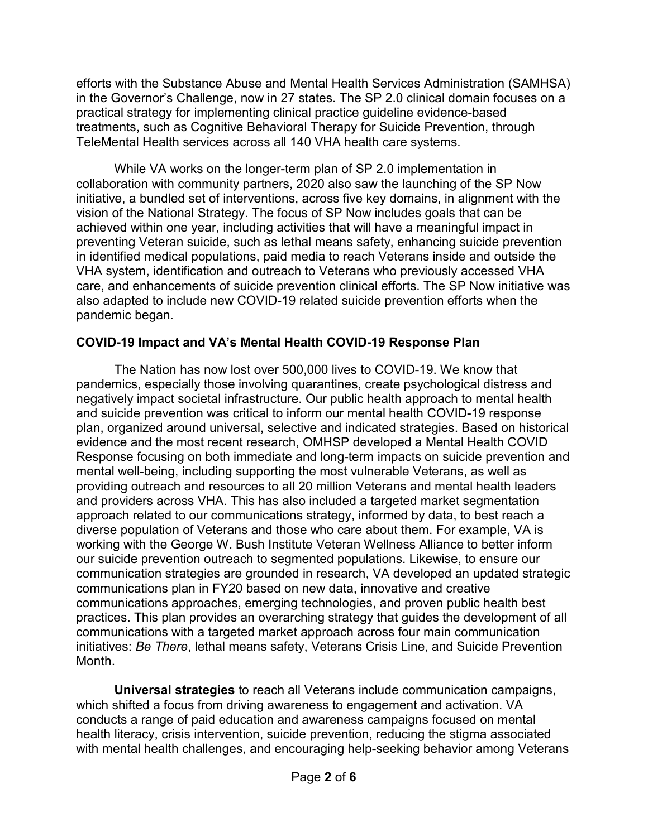efforts with the Substance Abuse and Mental Health Services Administration (SAMHSA) in the Governor's Challenge, now in 27 states. The SP 2.0 clinical domain focuses on a practical strategy for implementing clinical practice guideline evidence-based treatments, such as Cognitive Behavioral Therapy for Suicide Prevention, through TeleMental Health services across all 140 VHA health care systems.

While VA works on the longer-term plan of SP 2.0 implementation in collaboration with community partners, 2020 also saw the launching of the SP Now initiative, a bundled set of interventions, across five key domains, in alignment with the vision of the National Strategy. The focus of SP Now includes goals that can be achieved within one year, including activities that will have a meaningful impact in preventing Veteran suicide, such as lethal means safety, enhancing suicide prevention in identified medical populations, paid media to reach Veterans inside and outside the VHA system, identification and outreach to Veterans who previously accessed VHA care, and enhancements of suicide prevention clinical efforts. The SP Now initiative was also adapted to include new COVID-19 related suicide prevention efforts when the pandemic began.

# **COVID-19 Impact and VA's Mental Health COVID-19 Response Plan**

The Nation has now lost over 500,000 lives to COVID-19. We know that pandemics, especially those involving quarantines, create psychological distress and negatively impact societal infrastructure. Our public health approach to mental health and suicide prevention was critical to inform our mental health COVID-19 response plan, organized around universal, selective and indicated strategies. Based on historical evidence and the most recent research, OMHSP developed a Mental Health COVID Response focusing on both immediate and long-term impacts on suicide prevention and mental well-being, including supporting the most vulnerable Veterans, as well as providing outreach and resources to all 20 million Veterans and mental health leaders and providers across VHA. This has also included a targeted market segmentation approach related to our communications strategy, informed by data, to best reach a diverse population of Veterans and those who care about them. For example, VA is working with the George W. Bush Institute Veteran Wellness Alliance to better inform our suicide prevention outreach to segmented populations. Likewise, to ensure our communication strategies are grounded in research, VA developed an updated strategic communications plan in FY20 based on new data, innovative and creative communications approaches, emerging technologies, and proven public health best practices. This plan provides an overarching strategy that guides the development of all communications with a targeted market approach across four main communication initiatives: *Be There*, lethal means safety, Veterans Crisis Line, and Suicide Prevention Month.

**Universal strategies** to reach all Veterans include communication campaigns, which shifted a focus from driving awareness to engagement and activation. VA conducts a range of paid education and awareness campaigns focused on mental health literacy, crisis intervention, suicide prevention, reducing the stigma associated with mental health challenges, and encouraging help-seeking behavior among Veterans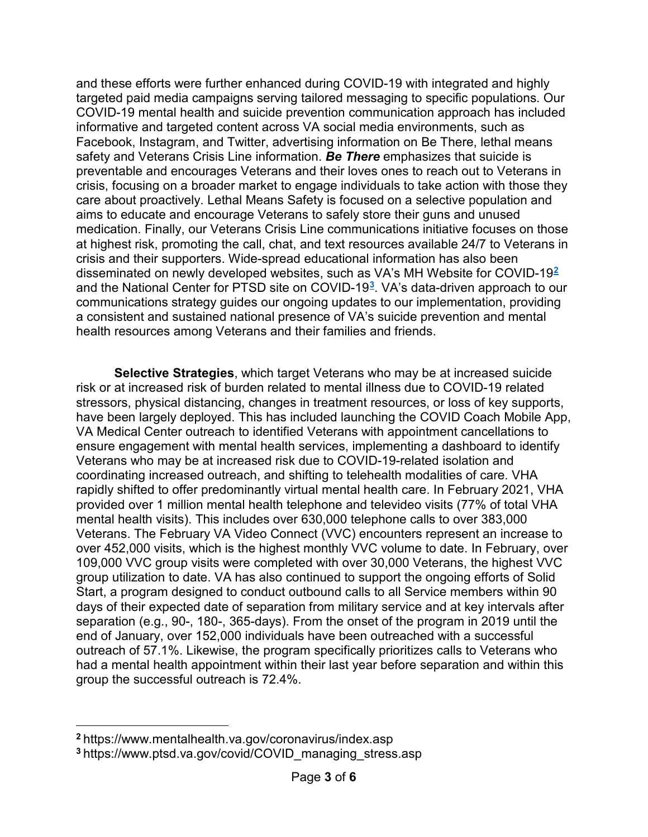and these efforts were further enhanced during COVID-19 with integrated and highly targeted paid media campaigns serving tailored messaging to specific populations. Our COVID-19 mental health and suicide prevention communication approach has included informative and targeted content across VA social media environments, such as Facebook, Instagram, and Twitter, advertising information on Be There, lethal means safety and Veterans Crisis Line information. *Be There* emphasizes that suicide is preventable and encourages Veterans and their loves ones to reach out to Veterans in crisis, focusing on a broader market to engage individuals to take action with those they care about proactively. Lethal Means Safety is focused on a selective population and aims to educate and encourage Veterans to safely store their guns and unused medication. Finally, our Veterans Crisis Line communications initiative focuses on those at highest risk, promoting the call, chat, and text resources available 24/7 to Veterans in crisis and their supporters. Wide-spread educational information has also been disseminated on newly developed websites, such as VA's [MH Website for COVID-19](https://www.mentalhealth.va.gov/coronavirus/index.asp)**[2](#page-2-0)** and the [National Center for PTSD site on COVID-19](https://www.ptsd.va.gov/covid/COVID_managing_stress.asp)**[3](#page-2-1)**. VA's data-driven approach to our communications strategy guides our ongoing updates to our implementation, providing a consistent and sustained national presence of VA's suicide prevention and mental health resources among Veterans and their families and friends.

**Selective Strategies**, which target Veterans who may be at increased suicide risk or at increased risk of burden related to mental illness due to COVID-19 related stressors, physical distancing, changes in treatment resources, or loss of key supports, have been largely deployed. This has included launching the COVID Coach Mobile App, VA Medical Center outreach to identified Veterans with appointment cancellations to ensure engagement with mental health services, implementing a dashboard to identify Veterans who may be at increased risk due to COVID-19-related isolation and coordinating increased outreach, and shifting to telehealth modalities of care. VHA rapidly shifted to offer predominantly virtual mental health care. In February 2021, VHA provided over 1 million mental health telephone and televideo visits (77% of total VHA mental health visits). This includes over 630,000 telephone calls to over 383,000 Veterans. The February VA Video Connect (VVC) encounters represent an increase to over 452,000 visits, which is the highest monthly VVC volume to date. In February, over 109,000 VVC group visits were completed with over 30,000 Veterans, the highest VVC group utilization to date. VA has also continued to support the ongoing efforts of Solid Start, a program designed to conduct outbound calls to all Service members within 90 days of their expected date of separation from military service and at key intervals after separation (e.g., 90-, 180-, 365-days). From the onset of the program in 2019 until the end of January, over 152,000 individuals have been outreached with a successful outreach of 57.1%. Likewise, the program specifically prioritizes calls to Veterans who had a mental health appointment within their last year before separation and within this group the successful outreach is 72.4%.

 $\overline{a}$ 

<span id="page-2-0"></span>**<sup>2</sup>** https://www.mentalhealth.va.gov/coronavirus/index.asp

<span id="page-2-1"></span>**<sup>3</sup>** https://www.ptsd.va.gov/covid/COVID\_managing\_stress.asp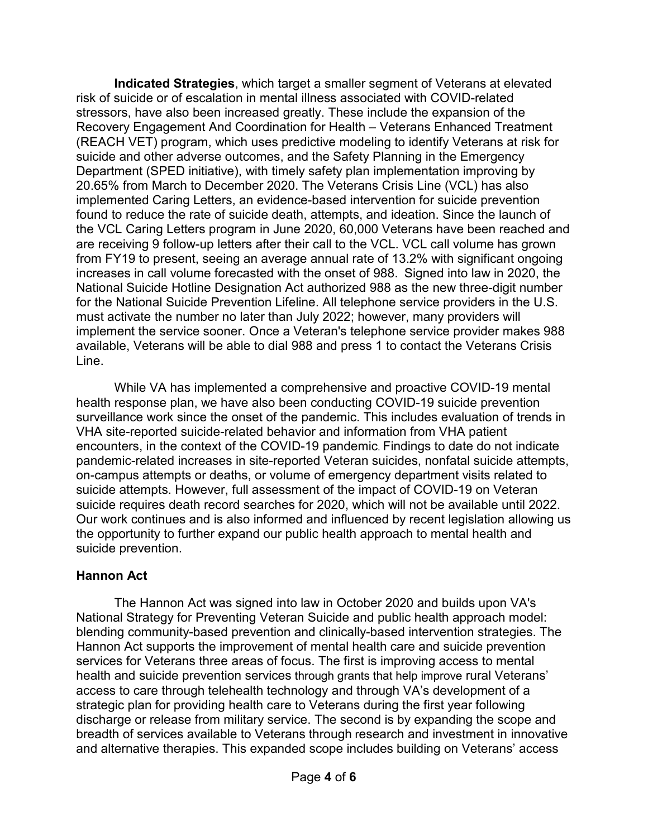**Indicated Strategies**, which target a smaller segment of Veterans at elevated risk of suicide or of escalation in mental illness associated with COVID-related stressors, have also been increased greatly. These include the expansion of the Recovery Engagement And Coordination for Health – Veterans Enhanced Treatment (REACH VET) program, which uses predictive modeling to identify Veterans at risk for suicide and other adverse outcomes, and the Safety Planning in the Emergency Department (SPED initiative), with timely safety plan implementation improving by 20.65% from March to December 2020. The Veterans Crisis Line (VCL) has also implemented Caring Letters, an evidence-based intervention for suicide prevention found to reduce the rate of suicide death, attempts, and ideation. Since the launch of the VCL Caring Letters program in June 2020, 60,000 Veterans have been reached and are receiving 9 follow-up letters after their call to the VCL. VCL call volume has grown from FY19 to present, seeing an average annual rate of 13.2% with significant ongoing increases in call volume forecasted with the onset of 988. Signed into law in 2020, the National Suicide Hotline Designation Act authorized 988 as the new three-digit number for the National Suicide Prevention Lifeline. All telephone service providers in the U.S. must activate the number no later than July 2022; however, many providers will implement the service sooner. Once a Veteran's telephone service provider makes 988 available, Veterans will be able to dial 988 and press 1 to contact the Veterans Crisis Line.

While VA has implemented a comprehensive and proactive COVID-19 mental health response plan, we have also been conducting COVID-19 suicide prevention surveillance work since the onset of the pandemic. This includes evaluation of trends in VHA site-reported suicide-related behavior and information from VHA patient encounters, in the context of the COVID-19 pandemic. Findings to date do not indicate pandemic-related increases in site-reported Veteran suicides, nonfatal suicide attempts, on-campus attempts or deaths, or volume of emergency department visits related to suicide attempts. However, full assessment of the impact of COVID-19 on Veteran suicide requires death record searches for 2020, which will not be available until 2022. Our work continues and is also informed and influenced by recent legislation allowing us the opportunity to further expand our public health approach to mental health and suicide prevention.

## **Hannon Act**

The Hannon Act was signed into law in October 2020 and builds upon VA's National Strategy for Preventing Veteran Suicide and public health approach model: blending community-based prevention and clinically-based intervention strategies. The Hannon Act supports the improvement of mental health care and suicide prevention services for Veterans three areas of focus. The first is improving access to mental health and suicide prevention services through grants that help improve rural Veterans' access to care through telehealth technology and through VA's development of a strategic plan for providing health care to Veterans during the first year following discharge or release from military service. The second is by expanding the scope and breadth of services available to Veterans through research and investment in innovative and alternative therapies. This expanded scope includes building on Veterans' access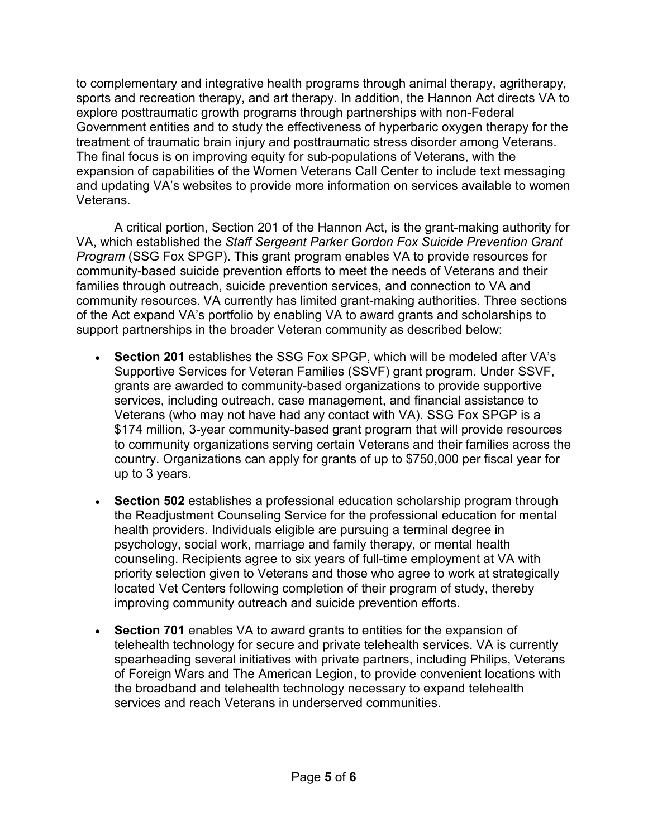to complementary and integrative health programs through animal therapy, agritherapy, sports and recreation therapy, and art therapy. In addition, the Hannon Act directs VA to explore posttraumatic growth programs through partnerships with non-Federal Government entities and to study the effectiveness of hyperbaric oxygen therapy for the treatment of traumatic brain injury and posttraumatic stress disorder among Veterans. The final focus is on improving equity for sub-populations of Veterans, with the expansion of capabilities of the Women Veterans Call Center to include text messaging and updating VA's websites to provide more information on services available to women Veterans.

A critical portion, Section 201 of the Hannon Act, is the grant-making authority for VA, which established the *Staff Sergeant Parker Gordon Fox Suicide Prevention Grant Program* (SSG Fox SPGP). This grant program enables VA to provide resources for community-based suicide prevention efforts to meet the needs of Veterans and their families through outreach, suicide prevention services, and connection to VA and community resources. VA currently has limited grant-making authorities. Three sections of the Act expand VA's portfolio by enabling VA to award grants and scholarships to support partnerships in the broader Veteran community as described below:

- **Section 201** establishes the SSG Fox SPGP, which will be modeled after VA's Supportive Services for Veteran Families (SSVF) grant program. Under SSVF, grants are awarded to community-based organizations to provide supportive services, including outreach, case management, and financial assistance to Veterans (who may not have had any contact with VA). SSG Fox SPGP is a \$174 million, 3-year community-based grant program that will provide resources to community organizations serving certain Veterans and their families across the country. Organizations can apply for grants of up to \$750,000 per fiscal year for up to 3 years.
- **Section 502** establishes a professional education scholarship program through the Readjustment Counseling Service for the professional education for mental health providers. Individuals eligible are pursuing a terminal degree in psychology, social work, marriage and family therapy, or mental health counseling. Recipients agree to six years of full-time employment at VA with priority selection given to Veterans and those who agree to work at strategically located Vet Centers following completion of their program of study, thereby improving community outreach and suicide prevention efforts.
- **Section 701** enables VA to award grants to entities for the expansion of telehealth technology for secure and private telehealth services. VA is currently spearheading several initiatives with private partners, including Philips, Veterans of Foreign Wars and The American Legion, to provide convenient locations with the broadband and telehealth technology necessary to expand telehealth services and reach Veterans in underserved communities.